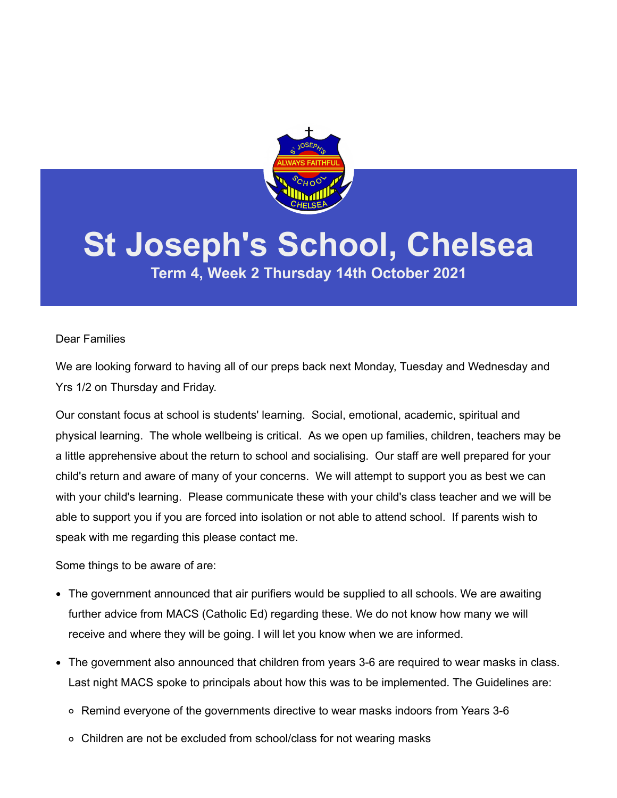

# **St Joseph's School, Chelsea**

**Term 4, Week 2 Thursday 14th October 2021**

### Dear Families

We are looking forward to having all of our preps back next Monday, Tuesday and Wednesday and Yrs 1/2 on Thursday and Friday.

Our constant focus at school is students' learning. Social, emotional, academic, spiritual and physical learning. The whole wellbeing is critical. As we open up families, children, teachers may be a little apprehensive about the return to school and socialising. Our staff are well prepared for your child's return and aware of many of your concerns. We will attempt to support you as best we can with your child's learning. Please communicate these with your child's class teacher and we will be able to support you if you are forced into isolation or not able to attend school. If parents wish to speak with me regarding this please contact me.

Some things to be aware of are:

- The government announced that air purifiers would be supplied to all schools. We are awaiting further advice from MACS (Catholic Ed) regarding these. We do not know how many we will receive and where they will be going. I will let you know when we are informed.
- The government also announced that children from years 3-6 are required to wear masks in class. Last night MACS spoke to principals about how this was to be implemented. The Guidelines are:
	- Remind everyone of the governments directive to wear masks indoors from Years 3-6
	- Children are not be excluded from school/class for not wearing masks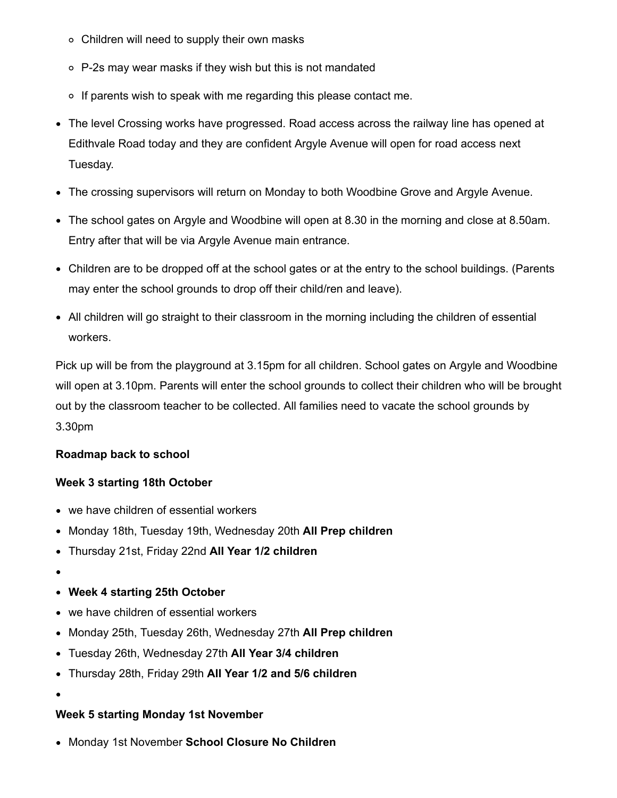- Children will need to supply their own masks
- P-2s may wear masks if they wish but this is not mandated
- $\circ$  If parents wish to speak with me regarding this please contact me.
- The level Crossing works have progressed. Road access across the railway line has opened at Edithvale Road today and they are confident Argyle Avenue will open for road access next Tuesday.
- The crossing supervisors will return on Monday to both Woodbine Grove and Argyle Avenue.
- The school gates on Argyle and Woodbine will open at 8.30 in the morning and close at 8.50am. Entry after that will be via Argyle Avenue main entrance.
- Children are to be dropped off at the school gates or at the entry to the school buildings. (Parents may enter the school grounds to drop off their child/ren and leave).
- All children will go straight to their classroom in the morning including the children of essential workers.

Pick up will be from the playground at 3.15pm for all children. School gates on Argyle and Woodbine will open at 3.10pm. Parents will enter the school grounds to collect their children who will be brought out by the classroom teacher to be collected. All families need to vacate the school grounds by 3.30pm

## **Roadmap back to school**

## **Week 3 starting 18th October**

- we have children of essential workers
- Monday 18th, Tuesday 19th, Wednesday 20th **All Prep children**
- Thursday 21st, Friday 22nd **All Year 1/2 children**
- 
- **Week 4 starting 25th October**
- we have children of essential workers
- Monday 25th, Tuesday 26th, Wednesday 27th **All Prep children**
- Tuesday 26th, Wednesday 27th **All Year 3/4 children**
- Thursday 28th, Friday 29th **All Year 1/2 and 5/6 children**
- 
- **Week 5 starting Monday 1st November**
- Monday 1st November **School Closure No Children**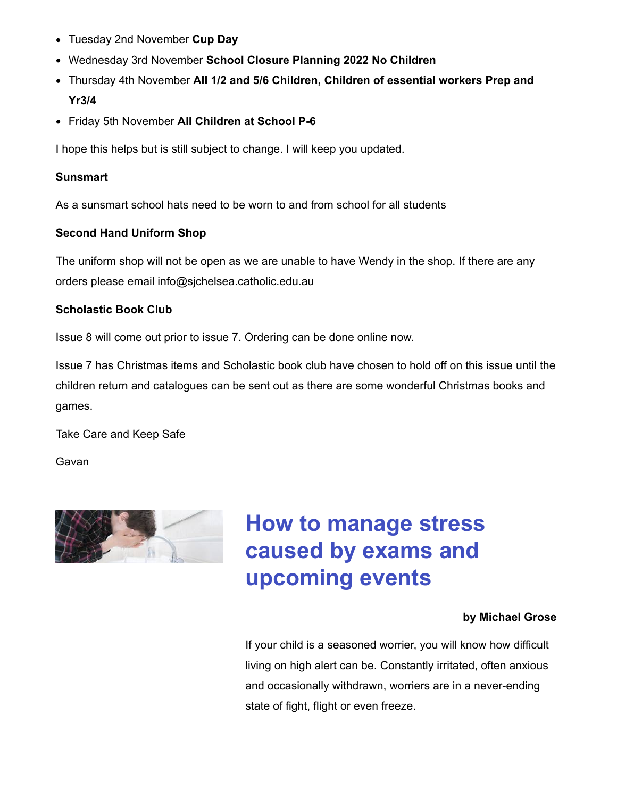- Tuesday 2nd November **Cup Day**
- Wednesday 3rd November **School Closure Planning 2022 No Children**
- Thursday 4th November **All 1/2 and 5/6 Children, Children of essential workers Prep and Yr3/4**
- Friday 5th November **All Children at School P-6**

I hope this helps but is still subject to change. I will keep you updated.

## **Sunsmart**

As a sunsmart school hats need to be worn to and from school for all students

## **Second Hand Uniform Shop**

The uniform shop will not be open as we are unable to have Wendy in the shop. If there are any orders please email info@sjchelsea.catholic.edu.au

## **Scholastic Book Club**

Issue 8 will come out prior to issue 7. Ordering can be done online now.

Issue 7 has Christmas items and Scholastic book club have chosen to hold off on this issue until the children return and catalogues can be sent out as there are some wonderful Christmas books and games.

Take Care and Keep Safe

Gavan



## **How to manage stress caused by exams and upcoming events**

## **by Michael Grose**

If your child is a seasoned worrier, you will know how difficult living on high alert can be. Constantly irritated, often anxious and occasionally withdrawn, worriers are in a never-ending state of fight, flight or even freeze.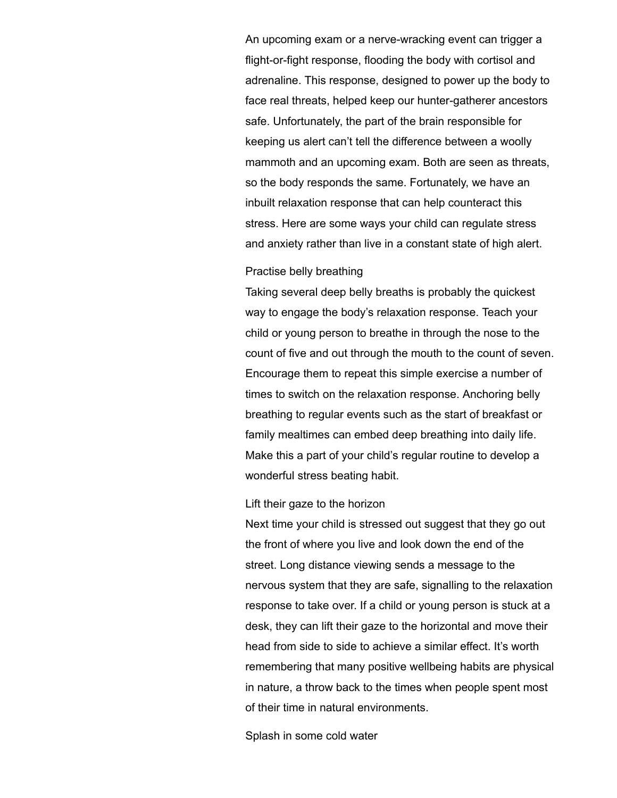An upcoming exam or a nerve-wracking event can trigger a flight-or-fight response, flooding the body with cortisol and adrenaline. This response, designed to power up the body to face real threats, helped keep our hunter-gatherer ancestors safe. Unfortunately, the part of the brain responsible for keeping us alert can't tell the difference between a woolly mammoth and an upcoming exam. Both are seen as threats, so the body responds the same. Fortunately, we have an inbuilt relaxation response that can help counteract this stress. Here are some ways your child can regulate stress and anxiety rather than live in a constant state of high alert.

#### Practise belly breathing

Taking several deep belly breaths is probably the quickest way to engage the body's relaxation response. Teach your child or young person to breathe in through the nose to the count of five and out through the mouth to the count of seven. Encourage them to repeat this simple exercise a number of times to switch on the relaxation response. Anchoring belly breathing to regular events such as the start of breakfast or family mealtimes can embed deep breathing into daily life. Make this a part of your child's regular routine to develop a wonderful stress beating habit.

#### Lift their gaze to the horizon

Next time your child is stressed out suggest that they go out the front of where you live and look down the end of the street. Long distance viewing sends a message to the nervous system that they are safe, signalling to the relaxation response to take over. If a child or young person is stuck at a desk, they can lift their gaze to the horizontal and move their head from side to side to achieve a similar effect. It's worth remembering that many positive wellbeing habits are physical in nature, a throw back to the times when people spent most of their time in natural environments.

Splash in some cold water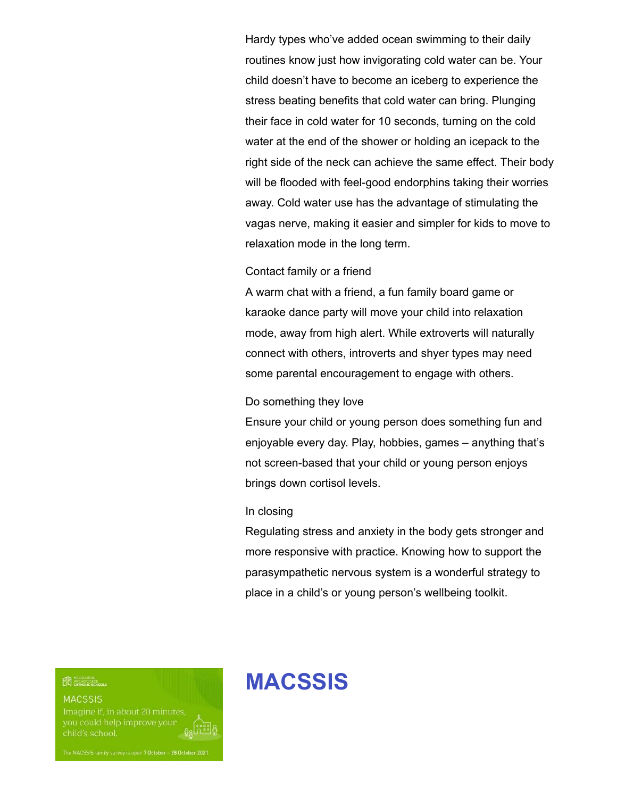Hardy types who've added ocean swimming to their daily routines know just how invigorating cold water can be. Your child doesn't have to become an iceberg to experience the stress beating benefits that cold water can bring. Plunging their face in cold water for 10 seconds, turning on the cold water at the end of the shower or holding an icepack to the right side of the neck can achieve the same effect. Their body will be flooded with feel-good endorphins taking their worries away. Cold water use has the advantage of stimulating the vagas nerve, making it easier and simpler for kids to move to relaxation mode in the long term.

#### Contact family or a friend

A warm chat with a friend, a fun family board game or karaoke dance party will move your child into relaxation mode, away from high alert. While extroverts will naturally connect with others, introverts and shyer types may need some parental encouragement to engage with others.

#### Do something they love

Ensure your child or young person does something fun and enjoyable every day. Play, hobbies, games – anything that's not screen-based that your child or young person enjoys brings down cortisol levels.

#### In closing

Regulating stress and anxiety in the body gets stronger and more responsive with practice. Knowing how to support the parasympathetic nervous system is a wonderful strategy to place in a child's or young person's wellbeing toolkit.

**ED** ARCHOOCESE

**MACSSIS** 

child's school.

## **MACSSIS**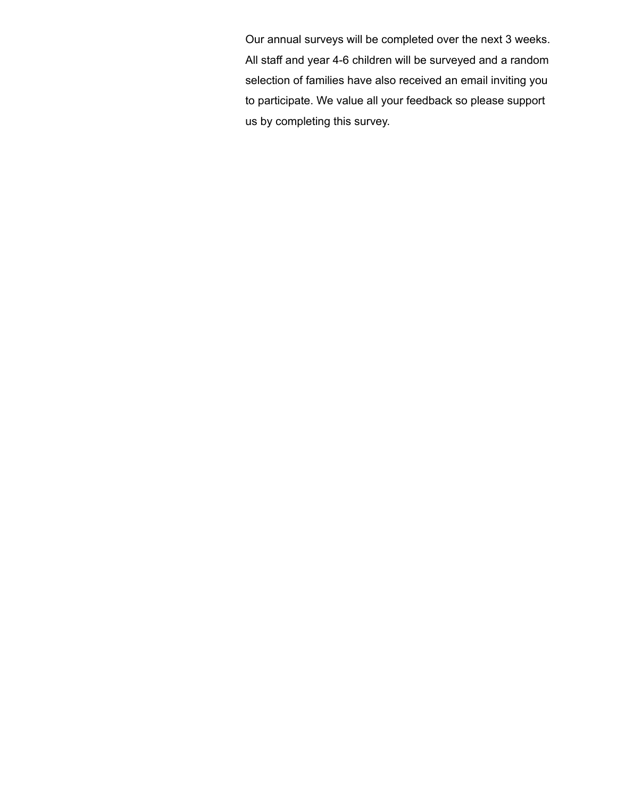Our annual surveys will be completed over the next 3 weeks. All staff and year 4-6 children will be surveyed and a random selection of families have also received an email inviting you to participate. We value all your feedback so please support us by completing this survey.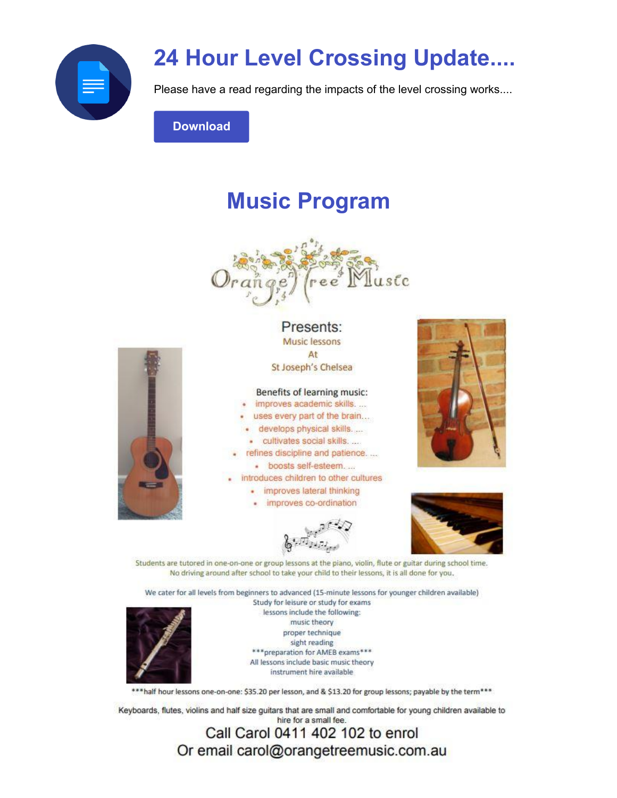

## **24 Hour Level Crossing Update....**

Please have a read regarding the impacts of the level crossing works....

**Download** 

## **Music Program**





#### Presents: Music lessons At St Joseph's Chelsea

Benefits of learning music:

improves academic skills....

uses every part of the brain...

- develops physical skills....
- · cultivates social skills....
- refines discipline and patience.... · boosts self-esteem....
- introduces children to other cultures
	- · improves lateral thinking
	- · improves co-ordination





Students are tutored in one-on-one or group lessons at the piano, violin, flute or guitar during school time. No driving around after school to take your child to their lessons, it is all done for you.

We cater for all levels from beginners to advanced (15-minute lessons for younger children available) Study for leisure or study for exams lessons include the following: music theory proper technique

sight reading \*\*\* preparation for AMEB exams\*\*\* All lessons include basic music theory

instrument hire available

\*\* half hour lessons one-on-one: \$35.20 per lesson, and & \$13.20 for group lessons; payable by the term\*\*\*

Keyboards, flutes, violins and half size guitars that are small and comfortable for young children available to hire for a small fee.

> Call Carol 0411 402 102 to enrol Or email carol@orangetreemusic.com.au